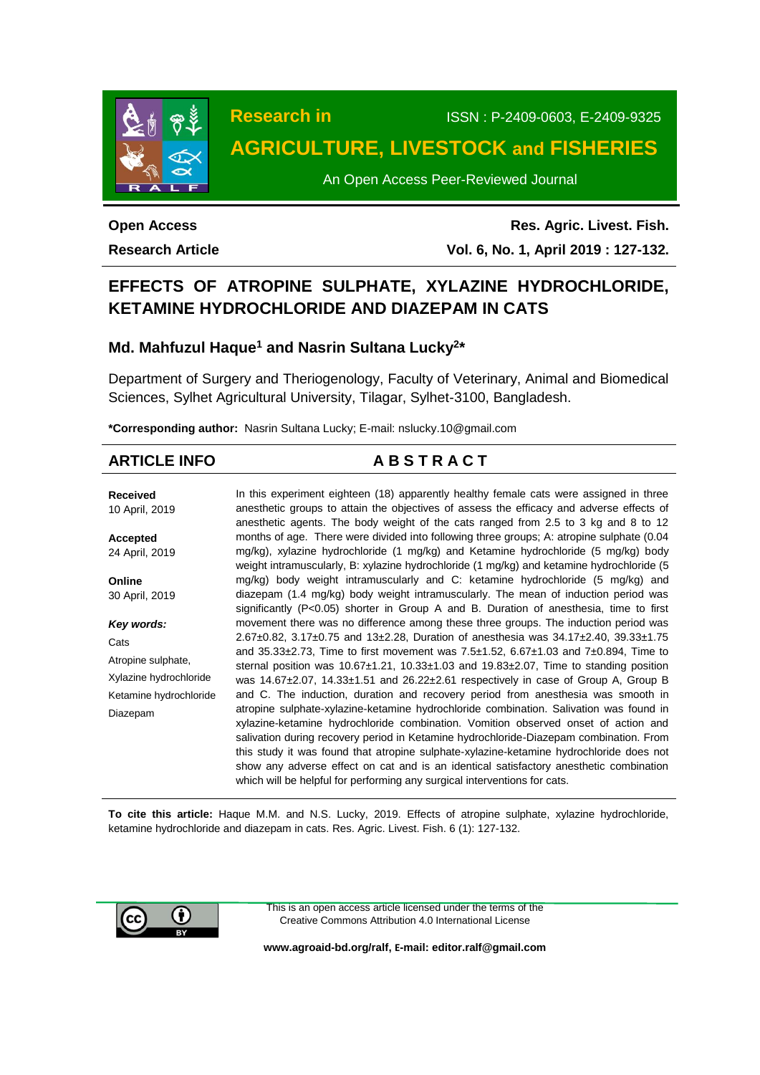

# **Research in** ISSN : P-2409-0603, E-2409-9325 **AGRICULTURE, LIVESTOCK and FISHERIES**

An Open Access Peer-Reviewed Journal

## **Open Access Research Article**

**Res. Agric. Livest. Fish. Vol. 6, No. 1, April 2019 : 127-132.**

## **EFFECTS OF ATROPINE SULPHATE, XYLAZINE HYDROCHLORIDE, KETAMINE HYDROCHLORIDE AND DIAZEPAM IN CATS**

## **Md. Mahfuzul Haque<sup>1</sup> and Nasrin Sultana Lucky<sup>2</sup> \***

Department of Surgery and Theriogenology, Faculty of Veterinary, Animal and Biomedical Sciences, Sylhet Agricultural University, Tilagar, Sylhet-3100, Bangladesh.

**\*Corresponding author:** Nasrin Sultana Lucky; E-mail: [nslucky.10@gmail.com](mailto:nslucky.10@gmail.com)

# **ARTICLE INFO A B S T R A C T**

**Received** 10 April, 2019 **Accepted** 24 April, 2019 **Online** 30 April, 2019 *Key words:* **Cats** Atropine sulphate, Xylazine hydrochloride Ketamine hydrochloride Diazepam In this experiment eighteen (18) apparently healthy female cats were assigned in three anesthetic groups to attain the objectives of assess the efficacy and adverse effects of anesthetic agents. The body weight of the cats ranged from 2.5 to 3 kg and 8 to 12 months of age. There were divided into following three groups; A: atropine sulphate (0.04 mg/kg), xylazine hydrochloride (1 mg/kg) and Ketamine hydrochloride (5 mg/kg) body weight intramuscularly, B: xylazine hydrochloride (1 mg/kg) and ketamine hydrochloride (5 mg/kg) body weight intramuscularly and C: ketamine hydrochloride (5 mg/kg) and diazepam (1.4 mg/kg) body weight intramuscularly. The mean of induction period was significantly (P<0.05) shorter in Group A and B. Duration of anesthesia, time to first movement there was no difference among these three groups. The induction period was 2.67±0.82, 3.17±0.75 and 13±2.28, Duration of anesthesia was 34.17±2.40, 39.33±1.75 and  $35.33\pm2.73$ , Time to first movement was  $7.5\pm1.52$ , 6.67 $\pm1.03$  and  $7\pm0.894$ , Time to sternal position was  $10.67\pm1.21$ ,  $10.33\pm1.03$  and  $19.83\pm2.07$ , Time to standing position was 14.67±2.07, 14.33±1.51 and 26.22±2.61 respectively in case of Group A, Group B and C. The induction, duration and recovery period from anesthesia was smooth in atropine sulphate-xylazine-ketamine hydrochloride combination. Salivation was found in xylazine-ketamine hydrochloride combination. Vomition observed onset of action and salivation during recovery period in Ketamine hydrochloride-Diazepam combination. From this study it was found that atropine sulphate-xylazine-ketamine hydrochloride does not show any adverse effect on cat and is an identical satisfactory anesthetic combination which will be helpful for performing any surgical interventions for cats.

**To cite this article:** Haque M.M. and N.S. Lucky, 2019. Effects of atropine sulphate, xylazine hydrochloride, ketamine hydrochloride and diazepam in cats. Res. Agric. Livest. Fish. 6 (1): 127-132.



This is an open access article licensed under the terms of the Creative Commons Attribution 4.0 International License

**[www.agroaid-bd.org/ralf,](http://www.agroaid-bd.org/ralf) E-mail[: editor.ralf@gmail.com](mailto:editor.ralf@gmail.com)**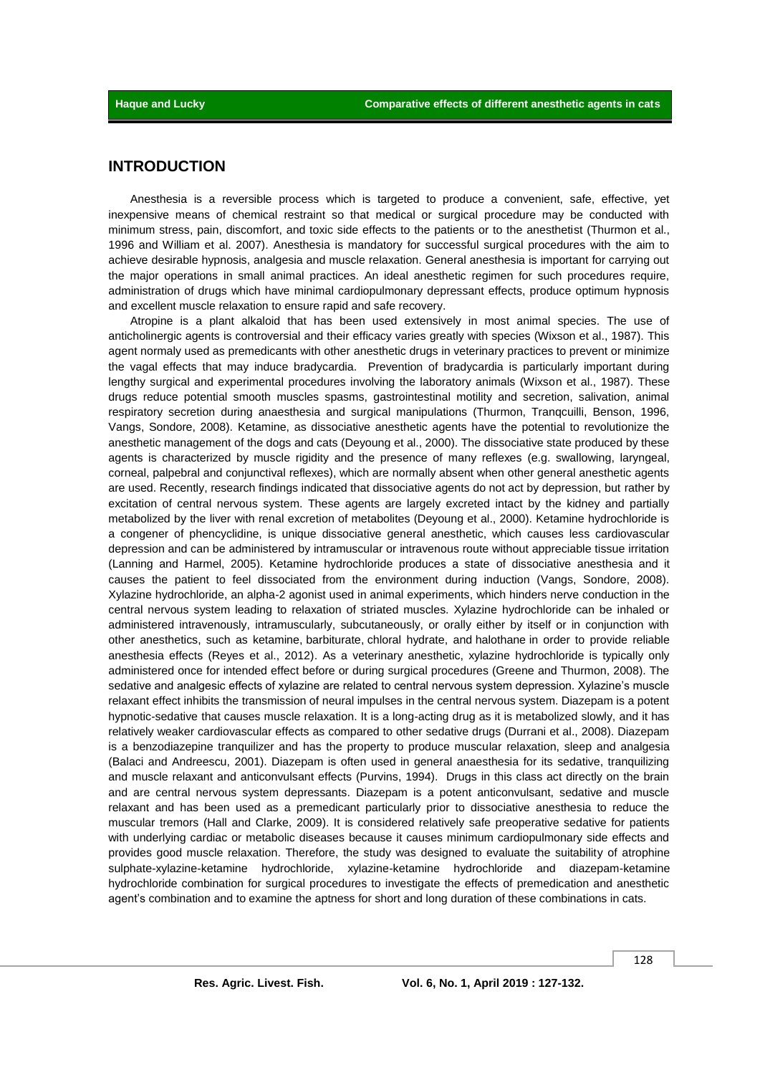## **INTRODUCTION**

Anesthesia is a reversible process which is targeted to produce a convenient, safe, effective, yet inexpensive means of chemical restraint so that medical or surgical procedure may be conducted with minimum stress, pain, discomfort, and toxic side effects to the patients or to the anesthetist (Thurmon et al., 1996 and William et al. 2007). Anesthesia is mandatory for successful surgical procedures with the aim to achieve desirable hypnosis, analgesia and muscle relaxation. General anesthesia is important for carrying out the major operations in small animal practices. An ideal anesthetic regimen for such procedures require, administration of drugs which have minimal cardiopulmonary depressant effects, produce optimum hypnosis and excellent muscle relaxation to ensure rapid and safe recovery.

Atropine is a plant alkaloid that has been used extensively in most animal species. The use of anticholinergic agents is controversial and their efficacy varies greatly with species (Wixson et al., 1987). This agent normaly used as premedicants with other anesthetic drugs in veterinary practices to prevent or minimize the vagal effects that may induce bradycardia. Prevention of bradycardia is particularly important during lengthy surgical and experimental procedures involving the laboratory animals (Wixson et al., 1987). These drugs reduce potential smooth muscles spasms, gastrointestinal motility and secretion, salivation, animal respiratory secretion during anaesthesia and surgical manipulations (Thurmon, Tranqcuilli, Benson, 1996, Vangs, Sondore, 2008). Ketamine, as dissociative anesthetic agents have the potential to revolutionize the anesthetic management of the dogs and cats (Deyoung et al., 2000). The dissociative state produced by these agents is characterized by muscle rigidity and the presence of many reflexes (e.g. swallowing, laryngeal, corneal, palpebral and conjunctival reflexes), which are normally absent when other general anesthetic agents are used. Recently, research findings indicated that dissociative agents do not act by depression, but rather by excitation of central nervous system. These agents are largely excreted intact by the kidney and partially metabolized by the liver with renal excretion of metabolites (Deyoung et al., 2000). Ketamine hydrochloride is a congener of phencyclidine, is unique dissociative general anesthetic, which causes less cardiovascular depression and can be administered by intramuscular or intravenous route without appreciable tissue irritation (Lanning and Harmel, 2005). Ketamine hydrochloride produces a state of dissociative anesthesia and it causes the patient to feel dissociated from the environment during induction (Vangs, Sondore, 2008). Xylazine hydrochloride, an alpha-2 agonist used in animal experiments, which hinders nerve conduction in the central nervous system leading to relaxation of striated muscles. Xylazine hydrochloride can be inhaled or administered intravenously, intramuscularly, subcutaneously, or orally either by itself or in conjunction with other anesthetics, such as ketamine, barbiturate, chloral hydrate, and halothane in order to provide reliable anesthesia effects (Reyes et al., 2012). As a veterinary anesthetic, xylazine hydrochloride is typically only administered once for intended effect before or during surgical procedures (Greene and Thurmon, 2008). The sedative and analgesic effects of xylazine are related to central nervous system depression. Xylazine's muscle relaxant effect inhibits the transmission of neural impulses in the central nervous system. Diazepam is a potent hypnotic-sedative that causes muscle relaxation. It is a long-acting drug as it is metabolized slowly, and it has relatively weaker cardiovascular effects as compared to other sedative drugs (Durrani et al., 2008). Diazepam is a benzodiazepine tranquilizer and has the property to produce muscular relaxation, sleep and analgesia (Balaci and Andreescu, 2001). Diazepam is often used in general anaesthesia for its sedative, tranquilizing and muscle relaxant and anticonvulsant effects (Purvins, 1994). Drugs in this class act directly on the brain and are central nervous system depressants. Diazepam is a potent anticonvulsant, sedative and muscle relaxant and has been used as a premedicant particularly prior to dissociative anesthesia to reduce the muscular tremors (Hall and Clarke, 2009). It is considered relatively safe preoperative sedative for patients with underlying cardiac or metabolic diseases because it causes minimum cardiopulmonary side effects and provides good muscle relaxation. Therefore, the study was designed to evaluate the suitability of atrophine sulphate-xylazine-ketamine hydrochloride, xylazine-ketamine hydrochloride and diazepam-ketamine hydrochloride combination for surgical procedures to investigate the effects of premedication and anesthetic agent's combination and to examine the aptness for short and long duration of these combinations in cats.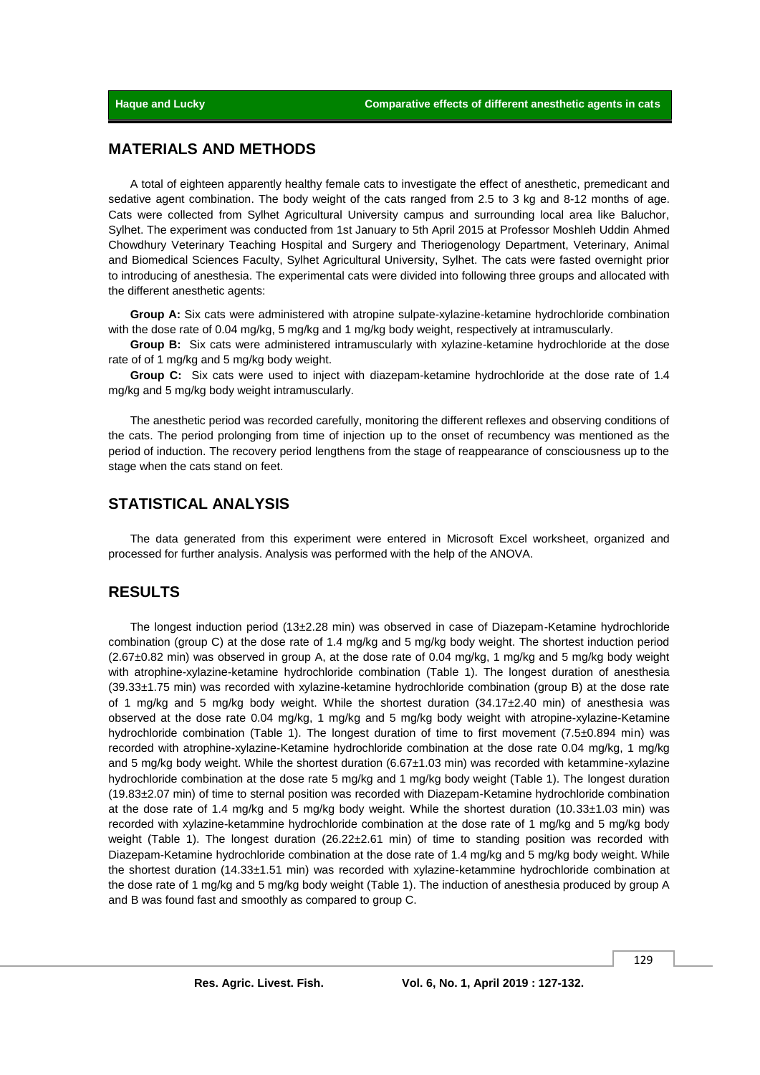## **MATERIALS AND METHODS**

A total of eighteen apparently healthy female cats to investigate the effect of anesthetic, premedicant and sedative agent combination. The body weight of the cats ranged from 2.5 to 3 kg and 8-12 months of age. Cats were collected from Sylhet Agricultural University campus and surrounding local area like Baluchor, Sylhet. The experiment was conducted from 1st January to 5th April 2015 at Professor Moshleh Uddin Ahmed Chowdhury Veterinary Teaching Hospital and Surgery and Theriogenology Department, Veterinary, Animal and Biomedical Sciences Faculty, Sylhet Agricultural University, Sylhet. The cats were fasted overnight prior to introducing of anesthesia. The experimental cats were divided into following three groups and allocated with the different anesthetic agents:

**Group A:** Six cats were administered with atropine sulpate-xylazine-ketamine hydrochloride combination with the dose rate of 0.04 mg/kg, 5 mg/kg and 1 mg/kg body weight, respectively at intramuscularly.

**Group B:** Six cats were administered intramuscularly with xylazine-ketamine hydrochloride at the dose rate of of 1 mg/kg and 5 mg/kg body weight.

**Group C:** Six cats were used to inject with diazepam-ketamine hydrochloride at the dose rate of 1.4 mg/kg and 5 mg/kg body weight intramuscularly.

The anesthetic period was recorded carefully, monitoring the different reflexes and observing conditions of the cats. The period prolonging from time of injection up to the onset of recumbency was mentioned as the period of induction. The recovery period lengthens from the stage of reappearance of consciousness up to the stage when the cats stand on feet.

## **STATISTICAL ANALYSIS**

The data generated from this experiment were entered in Microsoft Excel worksheet, organized and processed for further analysis. Analysis was performed with the help of the ANOVA.

#### **RESULTS**

The longest induction period (13±2.28 min) was observed in case of Diazepam-Ketamine hydrochloride combination (group C) at the dose rate of 1.4 mg/kg and 5 mg/kg body weight. The shortest induction period (2.67±0.82 min) was observed in group A, at the dose rate of 0.04 mg/kg, 1 mg/kg and 5 mg/kg body weight with atrophine-xylazine-ketamine hydrochloride combination (Table 1). The longest duration of anesthesia  $(39.33\pm1.75$  min) was recorded with xylazine-ketamine hydrochloride combination (group B) at the dose rate of 1 mg/kg and 5 mg/kg body weight. While the shortest duration (34.17±2.40 min) of anesthesia was observed at the dose rate 0.04 mg/kg, 1 mg/kg and 5 mg/kg body weight with atropine-xylazine-Ketamine hydrochloride combination (Table 1). The longest duration of time to first movement (7.5±0.894 min) was recorded with atrophine-xylazine-Ketamine hydrochloride combination at the dose rate 0.04 mg/kg, 1 mg/kg and 5 mg/kg body weight. While the shortest duration (6.67±1.03 min) was recorded with ketammine-xylazine hydrochloride combination at the dose rate 5 mg/kg and 1 mg/kg body weight (Table 1). The longest duration (19.83±2.07 min) of time to sternal position was recorded with Diazepam-Ketamine hydrochloride combination at the dose rate of 1.4 mg/kg and 5 mg/kg body weight. While the shortest duration (10.33±1.03 min) was recorded with xylazine-ketammine hydrochloride combination at the dose rate of 1 mg/kg and 5 mg/kg body weight (Table 1). The longest duration (26.22±2.61 min) of time to standing position was recorded with Diazepam-Ketamine hydrochloride combination at the dose rate of 1.4 mg/kg and 5 mg/kg body weight. While the shortest duration (14.33±1.51 min) was recorded with xylazine-ketammine hydrochloride combination at the dose rate of 1 mg/kg and 5 mg/kg body weight (Table 1). The induction of anesthesia produced by group A and B was found fast and smoothly as compared to group C.

129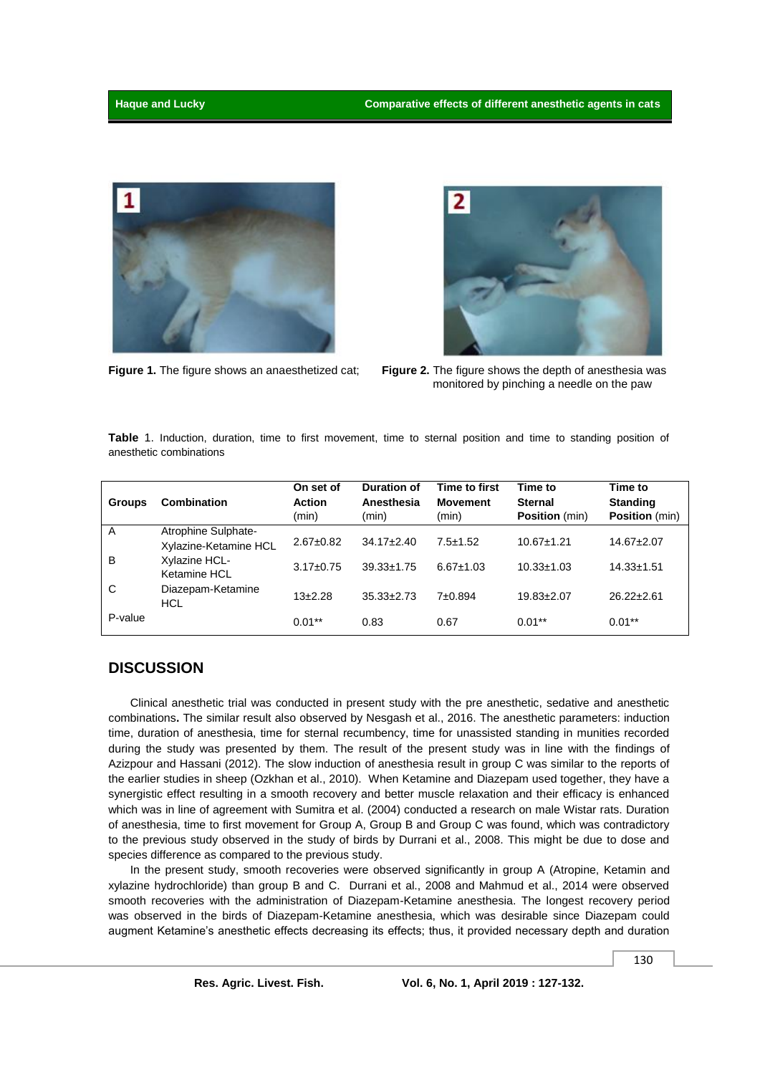



**Figure 1.** The figure shows an anaesthetized cat; **Figure 2.** The figure shows the depth of anesthesia was monitored by pinching a needle on the paw

**Table** 1. Induction, duration, time to first movement, time to sternal position and time to standing position of anesthetic combinations

| <b>Groups</b> | <b>Combination</b>                           | On set of<br><b>Action</b><br>(min) | Duration of<br>Anesthesia<br>(min) | Time to first<br><b>Movement</b><br>(min) | Time to<br><b>Sternal</b><br><b>Position</b> (min) | Time to<br><b>Standing</b><br><b>Position</b> (min) |
|---------------|----------------------------------------------|-------------------------------------|------------------------------------|-------------------------------------------|----------------------------------------------------|-----------------------------------------------------|
| A             | Atrophine Sulphate-<br>Xylazine-Ketamine HCL | $2.67+0.82$                         | $34.17 \pm 2.40$                   | $7.5 \pm 1.52$                            | $10.67 \pm 1.21$                                   | $14.67 \pm 2.07$                                    |
| B             | Xylazine HCL-<br>Ketamine HCL                | $3.17 \pm 0.75$                     | $39.33 \pm 1.75$                   | $6.67 \pm 1.03$                           | $10.33 \pm 1.03$                                   | $14.33 \pm 1.51$                                    |
| C             | Diazepam-Ketamine<br>HCL                     | $13+2.28$                           | $35.33 \pm 2.73$                   | 7±0.894                                   | $19.83 \pm 2.07$                                   | $26.22 \pm 2.61$                                    |
| P-value       |                                              | $0.01***$                           | 0.83                               | 0.67                                      | $0.01***$                                          | $0.01**$                                            |

## **DISCUSSION**

Clinical anesthetic trial was conducted in present study with the pre anesthetic, sedative and anesthetic combinations**.** The similar result also observed by Nesgash et al., 2016. The anesthetic parameters: induction time, duration of anesthesia, time for sternal recumbency, time for unassisted standing in munities recorded during the study was presented by them. The result of the present study was in line with the findings of Azizpour and Hassani (2012). The slow induction of anesthesia result in group C was similar to the reports of the earlier studies in sheep (Ozkhan et al., 2010). When Ketamine and Diazepam used together, they have a synergistic effect resulting in a smooth recovery and better muscle relaxation and their efficacy is enhanced which was in line of agreement with Sumitra et al. (2004) conducted a research on male Wistar rats. Duration of anesthesia, time to first movement for Group A, Group B and Group C was found, which was contradictory to the previous study observed in the study of birds by Durrani et al., 2008. This might be due to dose and species difference as compared to the previous study.

In the present study, smooth recoveries were observed significantly in group A (Atropine, Ketamin and xylazine hydrochloride) than group B and C. Durrani et al., 2008 and Mahmud et al., 2014 were observed smooth recoveries with the administration of Diazepam-Ketamine anesthesia. The longest recovery period was observed in the birds of Diazepam-Ketamine anesthesia, which was desirable since Diazepam could augment Ketamine's anesthetic effects decreasing its effects; thus, it provided necessary depth and duration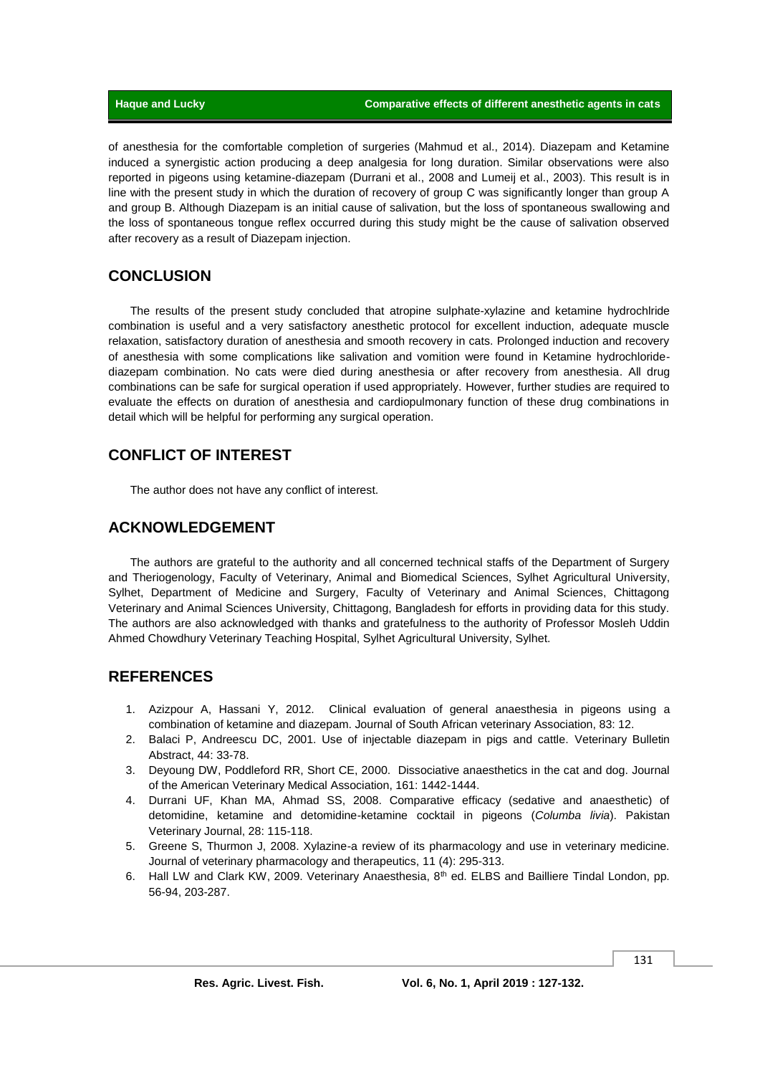of anesthesia for the comfortable completion of surgeries (Mahmud et al., 2014). Diazepam and Ketamine induced a synergistic action producing a deep analgesia for long duration. Similar observations were also reported in pigeons using ketamine-diazepam (Durrani et al., 2008 and Lumeij et al., 2003). This result is in line with the present study in which the duration of recovery of group C was significantly longer than group A and group B. Although Diazepam is an initial cause of salivation, but the loss of spontaneous swallowing and the loss of spontaneous tongue reflex occurred during this study might be the cause of salivation observed after recovery as a result of Diazepam injection.

### **CONCLUSION**

The results of the present study concluded that atropine sulphate-xylazine and ketamine hydrochlride combination is useful and a very satisfactory anesthetic protocol for excellent induction, adequate muscle relaxation, satisfactory duration of anesthesia and smooth recovery in cats. Prolonged induction and recovery of anesthesia with some complications like salivation and vomition were found in Ketamine hydrochloridediazepam combination. No cats were died during anesthesia or after recovery from anesthesia. All drug combinations can be safe for surgical operation if used appropriately. However, further studies are required to evaluate the effects on duration of anesthesia and cardiopulmonary function of these drug combinations in detail which will be helpful for performing any surgical operation.

## **CONFLICT OF INTEREST**

The author does not have any conflict of interest.

#### **ACKNOWLEDGEMENT**

The authors are grateful to the authority and all concerned technical staffs of the Department of Surgery and Theriogenology, Faculty of Veterinary, Animal and Biomedical Sciences, Sylhet Agricultural University, Sylhet, Department of Medicine and Surgery, Faculty of Veterinary and Animal Sciences, Chittagong Veterinary and Animal Sciences University, Chittagong, Bangladesh for efforts in providing data for this study. The authors are also acknowledged with thanks and gratefulness to the authority of Professor Mosleh Uddin Ahmed Chowdhury Veterinary Teaching Hospital, Sylhet Agricultural University, Sylhet.

#### **REFERENCES**

- 1. Azizpour A, Hassani Y, 2012. Clinical evaluation of general anaesthesia in pigeons using a combination of ketamine and diazepam. Journal of South African veterinary Association, 83: 12.
- 2. Balaci P, Andreescu DC, 2001. Use of injectable diazepam in pigs and cattle. Veterinary Bulletin Abstract, 44: 33-78.
- 3. Deyoung DW, Poddleford RR, Short CE, 2000. Dissociative anaesthetics in the cat and dog. Journal of the American Veterinary Medical Association, 161: 1442-1444.
- 4. Durrani UF, Khan MA, Ahmad SS, 2008. Comparative efficacy (sedative and anaesthetic) of detomidine, ketamine and detomidine-ketamine cocktail in pigeons (*Columba livia*). Pakistan Veterinary Journal, 28: 115-118.
- 5. Greene S, Thurmon J, 2008. Xylazine-a review of its pharmacology and use in veterinary medicine. Journal of veterinary pharmacology and therapeutics, 11 (4): 295-313.
- 6. Hall LW and Clark KW, 2009. Veterinary Anaesthesia, 8<sup>th</sup> ed. ELBS and Bailliere Tindal London, pp. 56-94, 203-287.